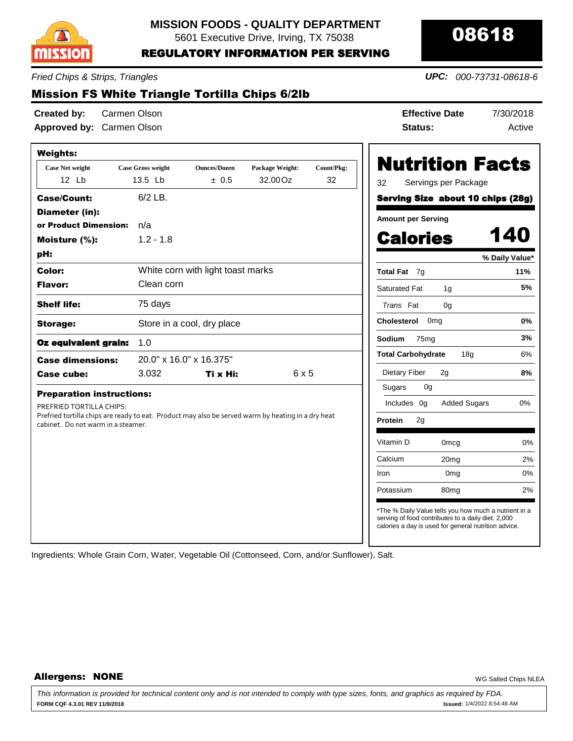

5601 Executive Drive, Irving, TX 75038

REGULATORY INFORMATION PER SERVING

*Fried Chips & Strips, Triangles*

*UPC: 000-73731-08618-6*

#### Active Calories 140 PREFRIED TORTILLA CHIPS: Prefried tortilla chips are ready to eat. Product may also be served warm by heating in a dry heat cabinet. Do not warm in a steamer. or Product Dimension:  $\eta/a$ Serving Size about 10 chips (28g) Preparation instructions: **Case Net weight Case Gross weight Ounces/Dozen** Package Weight: Count/Pkg: **Nutrition Facts** Mission FS White Triangle Tortilla Chips 6/2lb 32 Servings per Package **% Daily Value\* Total Fat** 7g Saturated Fat 1g **Cholesterol** 0mg **Sodium** 75mg **Total Carbohydrate** 18g Dietary Fiber 2g Sugars 0g **Protein** 2g \*The % Daily Value tells you how much a nutrient in a serving of food contributes to a daily diet. 2,000 calories a day is used for general nutrition advice. Case/Count: 6/2 LB. Diameter (in): **Case cube:**  $3.032$  Ti x Hi:  $6 \times 5$ **Moisture (%):** 1.2 - 1.8 Color: White corn with light toast marks pH: Flavor: Clean corn Shelf life: 75 days **Storage:** Store in a cool, dry place Weights: 12 Lb Case dimensions: 13.5 Lb 20.0" x 16.0" x 16.375" **11% 5% 0% 3%** 6% **8%** Calcium 20mg 2% Iron 0mg 0% **Trans** Fat 0g **Created by: Approved by: Status:** Carmen Olson ± 0.5 **Count/Pkg:** 32 **Amount per Serving** Carmen Olson **Effective Date** 7/30/2018 Vitamin D 0mcg Potassium 80mg 0% 2% 0mg 20mg Includes 0g Added Sugars 0% **Package Weight:** 32.00Oz Oz equivalent grain: 1.0

Ingredients: Whole Grain Corn, Water, Vegetable Oil (Cottonseed, Corn, and/or Sunflower), Salt.

## **Allergens: NONE** WG Salted Chips NLEA

**Issued:** 1/4/2022 8:54:48 AM *This information is provided for technical content only and is not intended to comply with type sizes, fonts, and graphics as required by FDA.*  **FORM CQF 4.3.01 REV 11/9/2018**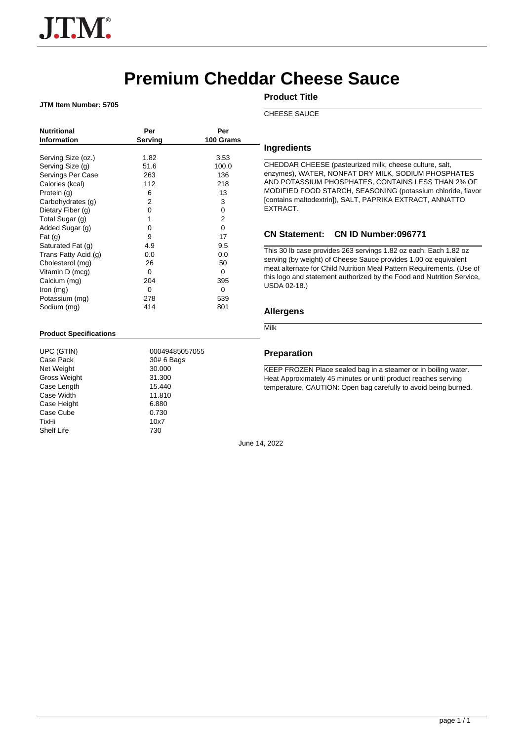# **Premium Cheddar Cheese Sauce**

#### **JTM Item Number: 5705**

| <b>Nutritional</b>   | Per      | Per       |
|----------------------|----------|-----------|
| <b>Information</b>   | Serving  | 100 Grams |
| Serving Size (oz.)   | 1.82     | 3.53      |
| Serving Size (g)     | 51.6     | 100.0     |
| Servings Per Case    | 263      | 136       |
| Calories (kcal)      | 112      | 218       |
| Protein (g)          | 6        | 13        |
| Carbohydrates (g)    | 2        | 3         |
| Dietary Fiber (g)    | 0        | 0         |
| Total Sugar (g)      | 1        | 2         |
| Added Sugar (g)      | 0        | 0         |
| Fat $(q)$            | 9        | 17        |
| Saturated Fat (g)    | 4.9      | 9.5       |
| Trans Fatty Acid (g) | 0.0      | 0.0       |
| Cholesterol (mg)     | 26       | 50        |
| Vitamin D (mcg)      | $\Omega$ | 0         |
| Calcium (mg)         | 204      | 395       |
| $lron$ (mg)          | $\Omega$ | 0         |
| Potassium (mg)       | 278      | 539       |
| Sodium (mg)          | 414      | 801       |

#### **Product Specifications**

| UPC (GTIN)          | 000  |
|---------------------|------|
| Case Pack           | 30#  |
| Net Weight          | 30.0 |
| <b>Gross Weight</b> | 31.3 |
| Case Length         | 15.4 |
| Case Width          | 11.8 |
| Case Height         | 6.88 |
| Case Cube           | 0.73 |
| TixHi               | 10x  |
| <b>Shelf Life</b>   | 730  |
|                     |      |

00049485057055 30# 6 Bags 30.000 31.300 15.440 11.810  $6.880$ 0.730 10x7<br>730

## **Product Title**

CHEESE SAUCE

#### **Ingredients**

CHEDDAR CHEESE (pasteurized milk, cheese culture, salt, enzymes), WATER, NONFAT DRY MILK, SODIUM PHOSPHATES AND POTASSIUM PHOSPHATES, CONTAINS LESS THAN 2% OF MODIFIED FOOD STARCH, SEASONING (potassium chloride, flavor [contains maltodextrin]), SALT, PAPRIKA EXTRACT, ANNATTO EXTRACT.

### **CN Statement: CN ID Number:096771**

This 30 lb case provides 263 servings 1.82 oz each. Each 1.82 oz serving (by weight) of Cheese Sauce provides 1.00 oz equivalent meat alternate for Child Nutrition Meal Pattern Requirements. (Use of this logo and statement authorized by the Food and Nutrition Service, USDA 02-18.)

#### **Allergens**

Milk

### **Preparation**

KEEP FROZEN Place sealed bag in a steamer or in boiling water. Heat Approximately 45 minutes or until product reaches serving temperature. CAUTION: Open bag carefully to avoid being burned.

June 14, 2022